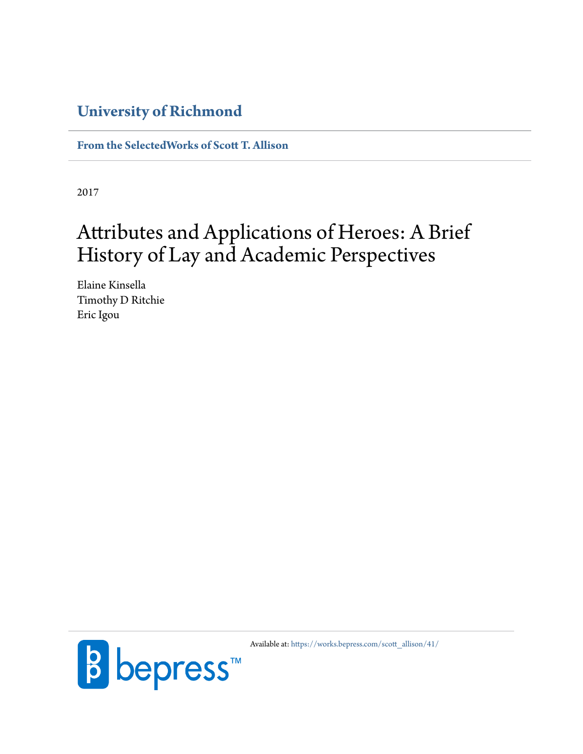# **[University of Richmond](http://www.richmond.edu)**

**[From the SelectedWorks of Scott T. Allison](https://works.bepress.com/scott_allison/)**

2017

# Attributes and Applications of Heroes: A Brief History of Lay and Academic Perspectives

Elaine Kinsella Timothy D Ritchie Eric Igou



Available at: [https://works.bepress.com/scott\\_allison/41/](https://works.bepress.com/scott_allison/41/)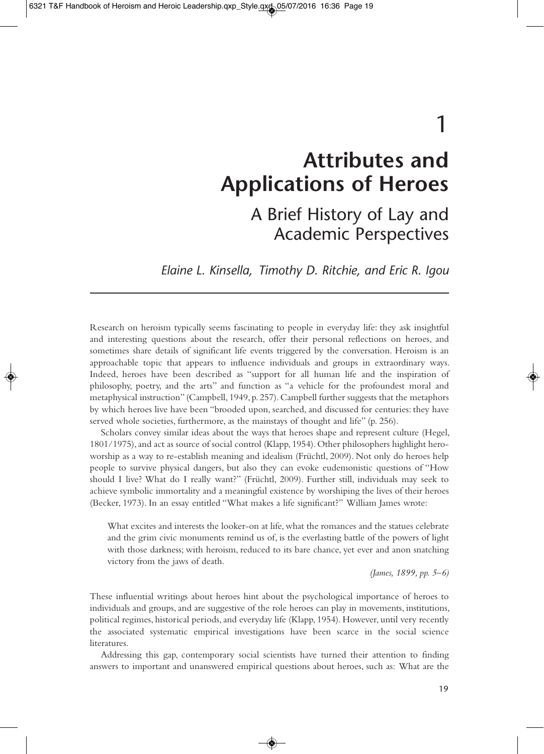# 1

# **Attributes and Applications of Heroes**

# A Brief History of Lay and Academic Perspectives

*Elaine L. Kinsella, Timothy D. Ritchie, and Eric R. Igou*

Research on heroism typically seems fascinating to people in everyday life: they ask insightful and interesting questions about the research, offer their personal reflections on heroes, and sometimes share details of significant life events triggered by the conversation. Heroism is an approachable topic that appears to influence individuals and groups in extraordinary ways. Indeed, heroes have been described as "support for all human life and the inspiration of philosophy, poetry, and the arts" and function as "a vehicle for the profoundest moral and metaphysical instruction" (Campbell, 1949, p. 257).Campbell further suggests that the metaphors by which heroes live have been "brooded upon, searched,and discussed for centuries: they have served whole societies, furthermore, as the mainstays of thought and life" (p. 256).

Scholars convey similar ideas about the ways that heroes shape and represent culture (Hegel, 1801/1975),and act as source of social control (Klapp, 1954). Other philosophers highlight heroworship as a way to re-establish meaning and idealism (Früchtl, 2009). Not only do heroes help people to survive physical dangers, but also they can evoke eudemonistic questions of "How should I live? What do I really want?" (Früchtl, 2009). Further still, individuals may seek to achieve symbolic immortality and a meaningful existence by worshiping the lives of their heroes (Becker, 1973). In an essay entitled "What makes a life significant?" William James wrote:

What excites and interests the looker-on at life, what the romances and the statues celebrate and the grim civic monuments remind us of, is the everlasting battle of the powers of light with those darkness; with heroism, reduced to its bare chance, yet ever and anon snatching victory from the jaws of death.

*(James, 1899, pp. 5–6)*

These influential writings about heroes hint about the psychological importance of heroes to individuals and groups, and are suggestive of the role heroes can play in movements, institutions, political regimes, historical periods,and everyday life (Klapp, 1954). However, until very recently the associated systematic empirical investigations have been scarce in the social science literatures.

Addressing this gap, contemporary social scientists have turned their attention to finding answers to important and unanswered empirical questions about heroes, such as: What are the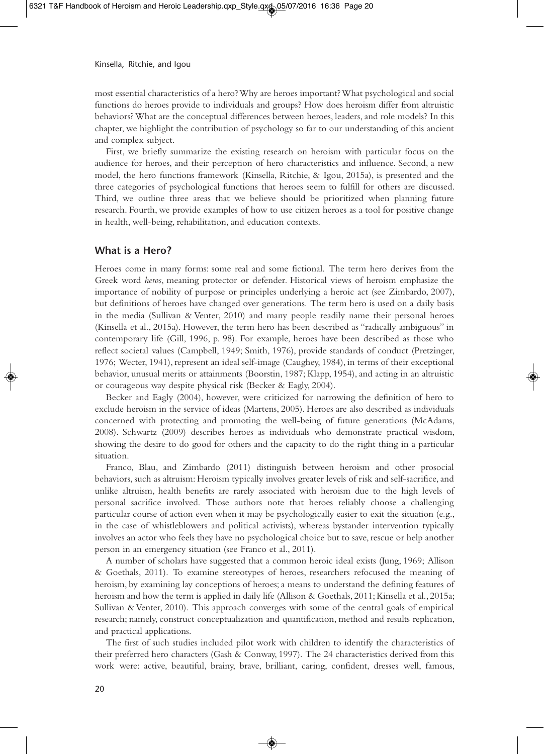most essential characteristics of a hero?Why are heroes important?What psychological and social functions do heroes provide to individuals and groups? How does heroism differ from altruistic behaviors? What are the conceptual differences between heroes, leaders, and role models? In this chapter, we highlight the contribution of psychology so far to our understanding of this ancient and complex subject.

First, we briefly summarize the existing research on heroism with particular focus on the audience for heroes, and their perception of hero characteristics and influence. Second, a new model, the hero functions framework (Kinsella, Ritchie, & Igou, 2015a), is presented and the three categories of psychological functions that heroes seem to fulfill for others are discussed. Third, we outline three areas that we believe should be prioritized when planning future research. Fourth, we provide examples of how to use citizen heroes as a tool for positive change in health, well-being, rehabilitation, and education contexts.

# **What is a Hero?**

Heroes come in many forms: some real and some fictional. The term hero derives from the Greek word *heros*, meaning protector or defender. Historical views of heroism emphasize the importance of nobility of purpose or principles underlying a heroic act (see Zimbardo, 2007), but definitions of heroes have changed over generations. The term hero is used on a daily basis in the media (Sullivan & Venter, 2010) and many people readily name their personal heroes (Kinsella et al., 2015a). However, the term hero has been described as "radically ambiguous" in contemporary life (Gill, 1996, p. 98). For example, heroes have been described as those who reflect societal values (Campbell, 1949; Smith, 1976), provide standards of conduct (Pretzinger, 1976; Wecter, 1941), represent an ideal self-image (Caughey, 1984), in terms of their exceptional behavior, unusual merits or attainments (Boorstin, 1987; Klapp, 1954), and acting in an altruistic or courageous way despite physical risk (Becker & Eagly, 2004).

Becker and Eagly (2004), however, were criticized for narrowing the definition of hero to exclude heroism in the service of ideas (Martens, 2005). Heroes are also described as individuals concerned with protecting and promoting the well-being of future generations (McAdams, 2008). Schwartz (2009) describes heroes as individuals who demonstrate practical wisdom, showing the desire to do good for others and the capacity to do the right thing in a particular situation.

Franco, Blau, and Zimbardo (2011) distinguish between heroism and other prosocial behaviors, such as altruism: Heroism typically involves greater levels of risk and self-sacrifice, and unlike altruism, health benefits are rarely associated with heroism due to the high levels of personal sacrifice involved. Those authors note that heroes reliably choose a challenging particular course of action even when it may be psychologically easier to exit the situation (e.g., in the case of whistleblowers and political activists), whereas bystander intervention typically involves an actor who feels they have no psychological choice but to save, rescue or help another person in an emergency situation (see Franco et al., 2011).

A number of scholars have suggested that a common heroic ideal exists (Jung, 1969; Allison & Goethals, 2011). To examine stereotypes of heroes, researchers refocused the meaning of heroism, by examining lay conceptions of heroes; a means to understand the defining features of heroism and how the term is applied in daily life (Allison & Goethals, 2011; Kinsella et al., 2015a; Sullivan & Venter, 2010). This approach converges with some of the central goals of empirical research; namely, construct conceptualization and quantification, method and results replication, and practical applications.

The first of such studies included pilot work with children to identify the characteristics of their preferred hero characters (Gash & Conway, 1997). The 24 characteristics derived from this work were: active, beautiful, brainy, brave, brilliant, caring, confident, dresses well, famous,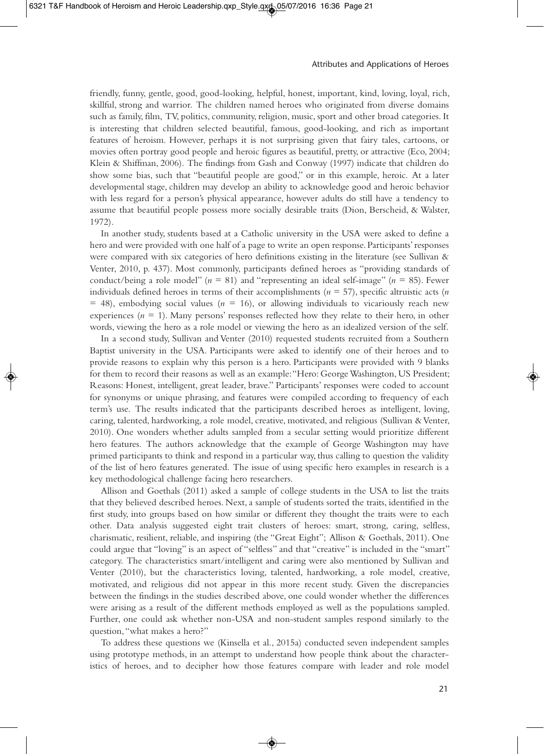friendly, funny, gentle, good, good-looking, helpful, honest, important, kind, loving, loyal, rich, skillful, strong and warrior. The children named heroes who originated from diverse domains such as family, film, TV, politics, community, religion, music, sport and other broad categories. It is interesting that children selected beautiful, famous, good-looking, and rich as important features of heroism. However, perhaps it is not surprising given that fairy tales, cartoons, or movies often portray good people and heroic figures as beautiful, pretty, or attractive (Eco, 2004; Klein & Shiffman, 2006). The findings from Gash and Conway (1997) indicate that children do show some bias, such that "beautiful people are good," or in this example, heroic. At a later developmental stage, children may develop an ability to acknowledge good and heroic behavior with less regard for a person's physical appearance, however adults do still have a tendency to assume that beautiful people possess more socially desirable traits (Dion, Berscheid, & Walster, 1972).

In another study, students based at a Catholic university in the USA were asked to define a hero and were provided with one half of a page to write an open response. Participants'responses were compared with six categories of hero definitions existing in the literature (see Sullivan & Venter, 2010, p. 437). Most commonly, participants defined heroes as "providing standards of conduct/being a role model" (*n* = 81) and "representing an ideal self-image" (*n* = 85). Fewer individuals defined heroes in terms of their accomplishments (*n* = 57), specific altruistic acts (*n*  $=$  48), embodying social values ( $n = 16$ ), or allowing individuals to vicariously reach new experiences  $(n = 1)$ . Many persons' responses reflected how they relate to their hero, in other words, viewing the hero as a role model or viewing the hero as an idealized version of the self.

In a second study, Sullivan and Venter (2010) requested students recruited from a Southern Baptist university in the USA. Participants were asked to identify one of their heroes and to provide reasons to explain why this person is a hero. Participants were provided with 9 blanks for them to record their reasons as well as an example:"Hero: GeorgeWashington, US President; Reasons: Honest, intelligent, great leader, brave." Participants' responses were coded to account for synonyms or unique phrasing, and features were compiled according to frequency of each term's use. The results indicated that the participants described heroes as intelligent, loving, caring, talented, hardworking, a role model, creative, motivated, and religious (Sullivan & Venter, 2010). One wonders whether adults sampled from a secular setting would prioritize different hero features. The authors acknowledge that the example of George Washington may have primed participants to think and respond in a particular way, thus calling to question the validity of the list of hero features generated. The issue of using specific hero examples in research is a key methodological challenge facing hero researchers.

Allison and Goethals (2011) asked a sample of college students in the USA to list the traits that they believed described heroes. Next, a sample of students sorted the traits, identified in the first study, into groups based on how similar or different they thought the traits were to each other. Data analysis suggested eight trait clusters of heroes: smart, strong, caring, selfless, charismatic, resilient, reliable, and inspiring (the "Great Eight"; Allison & Goethals, 2011). One could argue that "loving" is an aspect of "selfless" and that "creative" is included in the "smart" category. The characteristics smart/intelligent and caring were also mentioned by Sullivan and Venter (2010), but the characteristics loving, talented, hardworking, a role model, creative, motivated, and religious did not appear in this more recent study. Given the discrepancies between the findings in the studies described above, one could wonder whether the differences were arising as a result of the different methods employed as well as the populations sampled. Further, one could ask whether non-USA and non-student samples respond similarly to the question,"what makes a hero?"

To address these questions we (Kinsella et al., 2015a) conducted seven independent samples using prototype methods, in an attempt to understand how people think about the characteristics of heroes, and to decipher how those features compare with leader and role model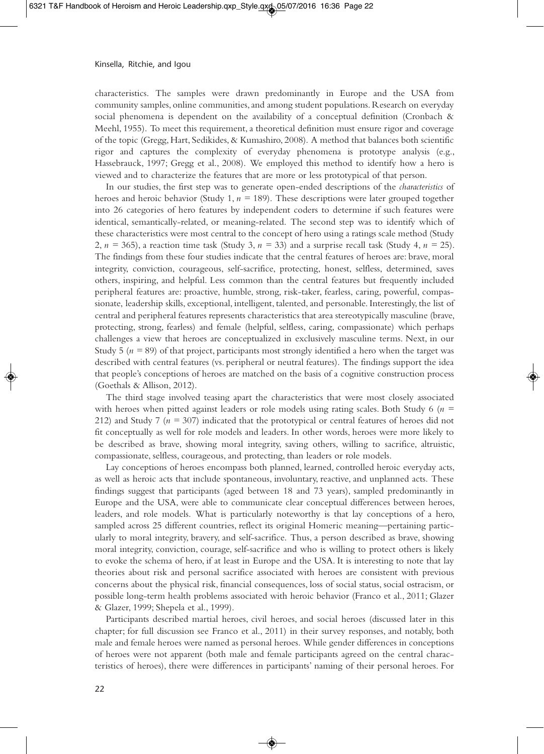characteristics. The samples were drawn predominantly in Europe and the USA from community samples, online communities,and among student populations. Research on everyday social phenomena is dependent on the availability of a conceptual definition (Cronbach & Meehl, 1955). To meet this requirement,a theoretical definition must ensure rigor and coverage of the topic (Gregg,Hart, Sedikides, & Kumashiro, 2008). A method that balances both scientific rigor and captures the complexity of everyday phenomena is prototype analysis (e.g., Hassebrauck, 1997; Gregg et al., 2008). We employed this method to identify how a hero is viewed and to characterize the features that are more or less prototypical of that person.

In our studies, the first step was to generate open-ended descriptions of the *characteristics* of heroes and heroic behavior (Study 1, *n =* 189). These descriptions were later grouped together into 26 categories of hero features by independent coders to determine if such features were identical, semantically-related, or meaning-related. The second step was to identify which of these characteristics were most central to the concept of hero using a ratings scale method (Study 2,  $n = 365$ ), a reaction time task (Study 3,  $n = 33$ ) and a surprise recall task (Study 4,  $n = 25$ ). The findings from these four studies indicate that the central features of heroes are: brave, moral integrity, conviction, courageous, self-sacrifice, protecting, honest, selfless, determined, saves others, inspiring, and helpful. Less common than the central features but frequently included peripheral features are: proactive, humble, strong, risk-taker, fearless, caring, powerful, compassionate, leadership skills, exceptional, intelligent, talented,and personable. Interestingly, the list of central and peripheral features represents characteristics that area stereotypically masculine (brave, protecting, strong, fearless) and female (helpful, selfless, caring, compassionate) which perhaps challenges a view that heroes are conceptualized in exclusively masculine terms. Next, in our Study 5 ( $n = 89$ ) of that project, participants most strongly identified a hero when the target was described with central features (vs. peripheral or neutral features). The findings support the idea that people's conceptions of heroes are matched on the basis of a cognitive construction process (Goethals & Allison, 2012).

The third stage involved teasing apart the characteristics that were most closely associated with heroes when pitted against leaders or role models using rating scales. Both Study 6 (*n =* 212) and Study 7 (*n =* 307) indicated that the prototypical or central features of heroes did not fit conceptually as well for role models and leaders. In other words, heroes were more likely to be described as brave, showing moral integrity, saving others, willing to sacrifice, altruistic, compassionate, selfless, courageous, and protecting, than leaders or role models.

Lay conceptions of heroes encompass both planned, learned, controlled heroic everyday acts, as well as heroic acts that include spontaneous, involuntary, reactive, and unplanned acts. These findings suggest that participants (aged between 18 and 73 years), sampled predominantly in Europe and the USA, were able to communicate clear conceptual differences between heroes, leaders, and role models. What is particularly noteworthy is that lay conceptions of a hero, sampled across 25 different countries, reflect its original Homeric meaning—pertaining particularly to moral integrity, bravery, and self-sacrifice. Thus, a person described as brave, showing moral integrity, conviction, courage, self-sacrifice and who is willing to protect others is likely to evoke the schema of hero, if at least in Europe and the USA. It is interesting to note that lay theories about risk and personal sacrifice associated with heroes are consistent with previous concerns about the physical risk, financial consequences, loss of social status, social ostracism, or possible long-term health problems associated with heroic behavior (Franco et al., 2011; Glazer & Glazer, 1999; Shepela et al., 1999).

Participants described martial heroes, civil heroes, and social heroes (discussed later in this chapter; for full discussion see Franco et al., 2011) in their survey responses, and notably, both male and female heroes were named as personal heroes. While gender differences in conceptions of heroes were not apparent (both male and female participants agreed on the central characteristics of heroes), there were differences in participants' naming of their personal heroes. For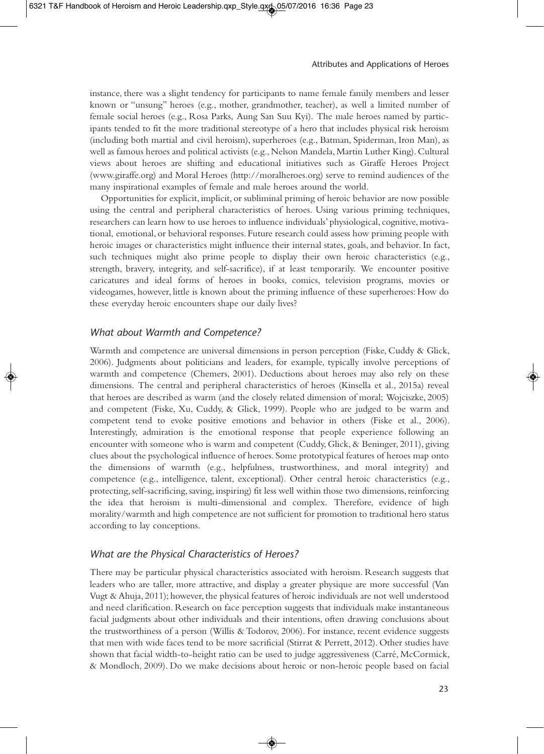instance, there was a slight tendency for participants to name female family members and lesser known or "unsung" heroes (e.g., mother, grandmother, teacher), as well a limited number of female social heroes (e.g., Rosa Parks, Aung San Suu Kyi). The male heroes named by participants tended to fit the more traditional stereotype of a hero that includes physical risk heroism (including both martial and civil heroism), superheroes (e.g., Batman, Spiderman, Iron Man), as well as famous heroes and political activists (e.g., Nelson Mandela, Martin Luther King). Cultural views about heroes are shifting and educational initiatives such as Giraffe Heroes Project (www.giraffe.org) and Moral Heroes (http://moralheroes.org) serve to remind audiences of the many inspirational examples of female and male heroes around the world.

Opportunities for explicit, implicit, or subliminal priming of heroic behavior are now possible using the central and peripheral characteristics of heroes. Using various priming techniques, researchers can learn how to use heroes to influence individuals' physiological, cognitive, motivational, emotional, or behavioral responses. Future research could assess how priming people with heroic images or characteristics might influence their internal states, goals,and behavior. In fact, such techniques might also prime people to display their own heroic characteristics (e.g., strength, bravery, integrity, and self-sacrifice), if at least temporarily. We encounter positive caricatures and ideal forms of heroes in books, comics, television programs, movies or videogames, however, little is known about the priming influence of these superheroes: How do these everyday heroic encounters shape our daily lives?

# *What about Warmth and Competence?*

Warmth and competence are universal dimensions in person perception (Fiske, Cuddy & Glick, 2006). Judgments about politicians and leaders, for example, typically involve perceptions of warmth and competence (Chemers, 2001). Deductions about heroes may also rely on these dimensions. The central and peripheral characteristics of heroes (Kinsella et al., 2015a) reveal that heroes are described as warm (and the closely related dimension of moral; Wojciszke, 2005) and competent (Fiske, Xu, Cuddy, & Glick, 1999). People who are judged to be warm and competent tend to evoke positive emotions and behavior in others (Fiske et al., 2006). Interestingly, admiration is the emotional response that people experience following an encounter with someone who is warm and competent (Cuddy, Glick, & Beninger, 2011), giving clues about the psychological influence of heroes. Some prototypical features of heroes map onto the dimensions of warmth (e.g., helpfulness, trustworthiness, and moral integrity) and competence (e.g., intelligence, talent, exceptional). Other central heroic characteristics (e.g., protecting, self-sacrificing, saving, inspiring) fit less well within those two dimensions, reinforcing the idea that heroism is multi-dimensional and complex. Therefore, evidence of high morality/warmth and high competence are not sufficient for promotion to traditional hero status according to lay conceptions.

### *What are the Physical Characteristics of Heroes?*

There may be particular physical characteristics associated with heroism. Research suggests that leaders who are taller, more attractive, and display a greater physique are more successful (Van Vugt & Ahuja, 2011); however, the physical features of heroic individuals are not well understood and need clarification. Research on face perception suggests that individuals make instantaneous facial judgments about other individuals and their intentions, often drawing conclusions about the trustworthiness of a person (Willis & Todorov, 2006). For instance, recent evidence suggests that men with wide faces tend to be more sacrificial (Stirrat & Perrett, 2012). Other studies have shown that facial width-to-height ratio can be used to judge aggressiveness (Carré, McCormick, & Mondloch, 2009). Do we make decisions about heroic or non-heroic people based on facial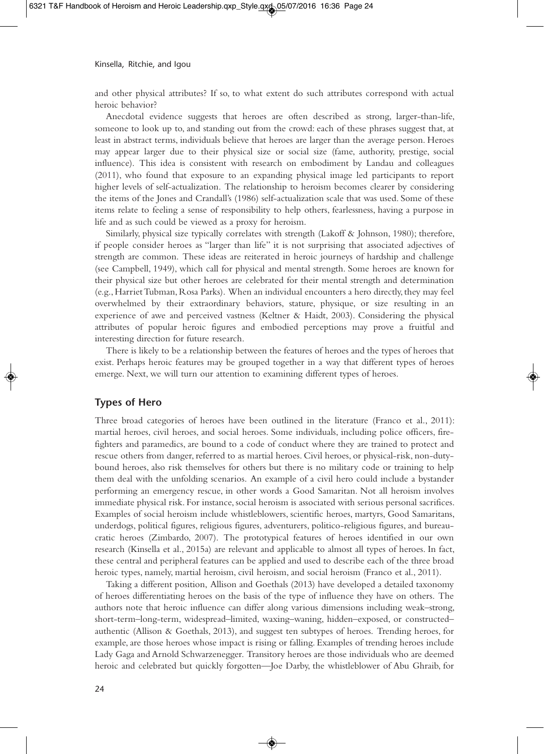and other physical attributes? If so, to what extent do such attributes correspond with actual heroic behavior?

Anecdotal evidence suggests that heroes are often described as strong, larger-than-life, someone to look up to, and standing out from the crowd: each of these phrases suggest that, at least in abstract terms, individuals believe that heroes are larger than the average person. Heroes may appear larger due to their physical size or social size (fame, authority, prestige, social influence). This idea is consistent with research on embodiment by Landau and colleagues (2011), who found that exposure to an expanding physical image led participants to report higher levels of self-actualization. The relationship to heroism becomes clearer by considering the items of the Jones and Crandall's (1986) self-actualization scale that was used. Some of these items relate to feeling a sense of responsibility to help others, fearlessness, having a purpose in life and as such could be viewed as a proxy for heroism.

Similarly, physical size typically correlates with strength (Lakoff & Johnson, 1980); therefore, if people consider heroes as "larger than life" it is not surprising that associated adjectives of strength are common. These ideas are reiterated in heroic journeys of hardship and challenge (see Campbell, 1949), which call for physical and mental strength. Some heroes are known for their physical size but other heroes are celebrated for their mental strength and determination (e.g.,HarrietTubman, Rosa Parks). When an individual encounters a hero directly, they may feel overwhelmed by their extraordinary behaviors, stature, physique, or size resulting in an experience of awe and perceived vastness (Keltner & Haidt, 2003). Considering the physical attributes of popular heroic figures and embodied perceptions may prove a fruitful and interesting direction for future research.

There is likely to be a relationship between the features of heroes and the types of heroes that exist. Perhaps heroic features may be grouped together in a way that different types of heroes emerge. Next, we will turn our attention to examining different types of heroes.

# **Types of Hero**

Three broad categories of heroes have been outlined in the literature (Franco et al., 2011): martial heroes, civil heroes, and social heroes. Some individuals, including police officers, firefighters and paramedics, are bound to a code of conduct where they are trained to protect and rescue others from danger, referred to as martial heroes. Civil heroes, or physical-risk, non-dutybound heroes, also risk themselves for others but there is no military code or training to help them deal with the unfolding scenarios. An example of a civil hero could include a bystander performing an emergency rescue, in other words a Good Samaritan. Not all heroism involves immediate physical risk. For instance, social heroism is associated with serious personal sacrifices. Examples of social heroism include whistleblowers, scientific heroes, martyrs, Good Samaritans, underdogs, political figures, religious figures, adventurers, politico-religious figures, and bureaucratic heroes (Zimbardo, 2007). The prototypical features of heroes identified in our own research (Kinsella et al., 2015a) are relevant and applicable to almost all types of heroes. In fact, these central and peripheral features can be applied and used to describe each of the three broad heroic types, namely, martial heroism, civil heroism, and social heroism (Franco et al., 2011).

Taking a different position, Allison and Goethals (2013) have developed a detailed taxonomy of heroes differentiating heroes on the basis of the type of influence they have on others. The authors note that heroic influence can differ along various dimensions including weak–strong, short-term–long-term, widespread–limited, waxing–waning, hidden–exposed, or constructed– authentic (Allison & Goethals, 2013), and suggest ten subtypes of heroes. Trending heroes, for example, are those heroes whose impact is rising or falling. Examples of trending heroes include Lady Gaga and Arnold Schwarzenegger. Transitory heroes are those individuals who are deemed heroic and celebrated but quickly forgotten—Joe Darby, the whistleblower of Abu Ghraib, for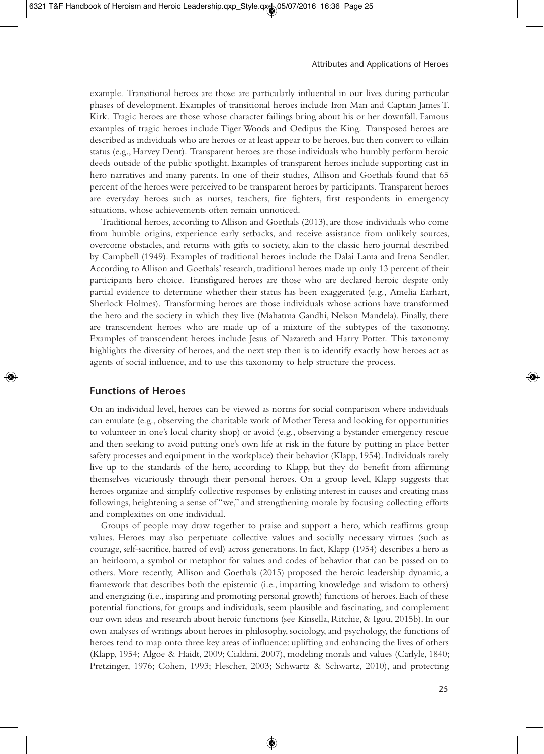example. Transitional heroes are those are particularly influential in our lives during particular phases of development. Examples of transitional heroes include Iron Man and Captain James T. Kirk. Tragic heroes are those whose character failings bring about his or her downfall. Famous examples of tragic heroes include Tiger Woods and Oedipus the King. Transposed heroes are described as individuals who are heroes or at least appear to be heroes, but then convert to villain status (e.g., Harvey Dent). Transparent heroes are those individuals who humbly perform heroic deeds outside of the public spotlight. Examples of transparent heroes include supporting cast in hero narratives and many parents. In one of their studies, Allison and Goethals found that 65 percent of the heroes were perceived to be transparent heroes by participants. Transparent heroes are everyday heroes such as nurses, teachers, fire fighters, first respondents in emergency situations, whose achievements often remain unnoticed.

Traditional heroes, according to Allison and Goethals (2013), are those individuals who come from humble origins, experience early setbacks, and receive assistance from unlikely sources, overcome obstacles, and returns with gifts to society, akin to the classic hero journal described by Campbell (1949). Examples of traditional heroes include the Dalai Lama and Irena Sendler. According to Allison and Goethals' research, traditional heroes made up only 13 percent of their participants hero choice. Transfigured heroes are those who are declared heroic despite only partial evidence to determine whether their status has been exaggerated (e.g., Amelia Earhart, Sherlock Holmes). Transforming heroes are those individuals whose actions have transformed the hero and the society in which they live (Mahatma Gandhi, Nelson Mandela). Finally, there are transcendent heroes who are made up of a mixture of the subtypes of the taxonomy. Examples of transcendent heroes include Jesus of Nazareth and Harry Potter. This taxonomy highlights the diversity of heroes, and the next step then is to identify exactly how heroes act as agents of social influence, and to use this taxonomy to help structure the process.

# **Functions of Heroes**

On an individual level, heroes can be viewed as norms for social comparison where individuals can emulate (e.g., observing the charitable work of Mother Teresa and looking for opportunities to volunteer in one's local charity shop) or avoid (e.g., observing a bystander emergency rescue and then seeking to avoid putting one's own life at risk in the future by putting in place better safety processes and equipment in the workplace) their behavior (Klapp, 1954). Individuals rarely live up to the standards of the hero, according to Klapp, but they do benefit from affirming themselves vicariously through their personal heroes. On a group level, Klapp suggests that heroes organize and simplify collective responses by enlisting interest in causes and creating mass followings, heightening a sense of "we," and strengthening morale by focusing collecting efforts and complexities on one individual.

Groups of people may draw together to praise and support a hero, which reaffirms group values. Heroes may also perpetuate collective values and socially necessary virtues (such as courage, self-sacrifice, hatred of evil) across generations. In fact, Klapp (1954) describes a hero as an heirloom, a symbol or metaphor for values and codes of behavior that can be passed on to others. More recently, Allison and Goethals (2015) proposed the heroic leadership dynamic, a framework that describes both the epistemic (i.e., imparting knowledge and wisdom to others) and energizing (i.e., inspiring and promoting personal growth) functions of heroes. Each of these potential functions, for groups and individuals, seem plausible and fascinating, and complement our own ideas and research about heroic functions (see Kinsella, Ritchie, & Igou, 2015b). In our own analyses of writings about heroes in philosophy, sociology,and psychology, the functions of heroes tend to map onto three key areas of influence: uplifting and enhancing the lives of others (Klapp, 1954; Algoe & Haidt, 2009; Cialdini, 2007), modeling morals and values (Carlyle, 1840; Pretzinger, 1976; Cohen, 1993; Flescher, 2003; Schwartz & Schwartz, 2010), and protecting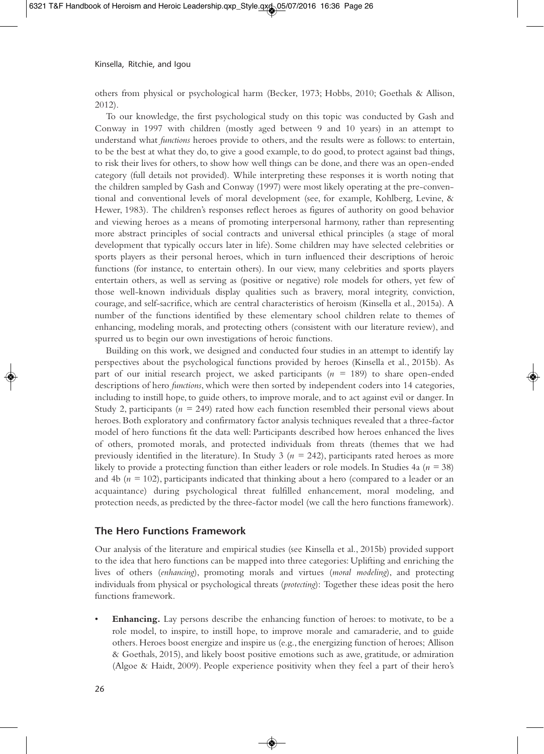others from physical or psychological harm (Becker, 1973; Hobbs, 2010; Goethals & Allison, 2012).

To our knowledge, the first psychological study on this topic was conducted by Gash and Conway in 1997 with children (mostly aged between 9 and 10 years) in an attempt to understand what *functions* heroes provide to others, and the results were as follows: to entertain, to be the best at what they do, to give a good example, to do good, to protect against bad things, to risk their lives for others, to show how well things can be done, and there was an open-ended category (full details not provided). While interpreting these responses it is worth noting that the children sampled by Gash and Conway (1997) were most likely operating at the pre-conventional and conventional levels of moral development (see, for example, Kohlberg, Levine, & Hewer, 1983). The children's responses reflect heroes as figures of authority on good behavior and viewing heroes as a means of promoting interpersonal harmony, rather than representing more abstract principles of social contracts and universal ethical principles (a stage of moral development that typically occurs later in life). Some children may have selected celebrities or sports players as their personal heroes, which in turn influenced their descriptions of heroic functions (for instance, to entertain others). In our view, many celebrities and sports players entertain others, as well as serving as (positive or negative) role models for others, yet few of those well-known individuals display qualities such as bravery, moral integrity, conviction, courage,and self-sacrifice, which are central characteristics of heroism (Kinsella et al., 2015a). A number of the functions identified by these elementary school children relate to themes of enhancing, modeling morals, and protecting others (consistent with our literature review), and spurred us to begin our own investigations of heroic functions.

Building on this work, we designed and conducted four studies in an attempt to identify lay perspectives about the psychological functions provided by heroes (Kinsella et al., 2015b). As part of our initial research project, we asked participants (*n =* 189) to share open-ended descriptions of hero *functions*, which were then sorted by independent coders into 14 categories, including to instill hope, to guide others, to improve morale, and to act against evil or danger. In Study 2, participants ( $n = 249$ ) rated how each function resembled their personal views about heroes.Both exploratory and confirmatory factor analysis techniques revealed that a three-factor model of hero functions fit the data well: Participants described how heroes enhanced the lives of others, promoted morals, and protected individuals from threats (themes that we had previously identified in the literature). In Study 3 (*n =* 242), participants rated heroes as more likely to provide a protecting function than either leaders or role models. In Studies 4a (*n =* 38) and 4b (*n =* 102), participants indicated that thinking about a hero (compared to a leader or an acquaintance) during psychological threat fulfilled enhancement, moral modeling, and protection needs, as predicted by the three-factor model (we call the hero functions framework).

# **The Hero Functions Framework**

Our analysis of the literature and empirical studies (see Kinsella et al., 2015b) provided support to the idea that hero functions can be mapped into three categories: Uplifting and enriching the lives of others (*enhancing*), promoting morals and virtues (*moral modeling*), and protecting individuals from physical or psychological threats (*protecting*): Together these ideas posit the hero functions framework.

**Enhancing.** Lay persons describe the enhancing function of heroes: to motivate, to be a role model, to inspire, to instill hope, to improve morale and camaraderie, and to guide others.Heroes boost energize and inspire us (e.g., the energizing function of heroes; Allison & Goethals, 2015), and likely boost positive emotions such as awe, gratitude, or admiration (Algoe & Haidt, 2009). People experience positivity when they feel a part of their hero's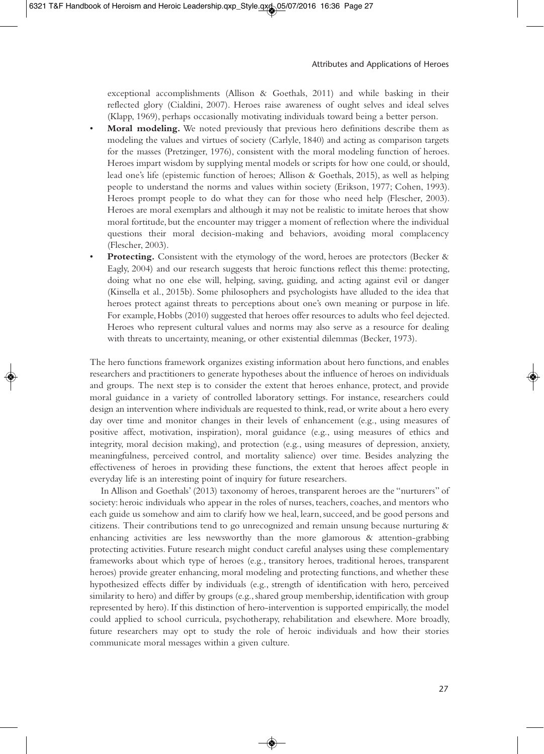exceptional accomplishments (Allison & Goethals, 2011) and while basking in their reflected glory (Cialdini, 2007). Heroes raise awareness of ought selves and ideal selves (Klapp, 1969), perhaps occasionally motivating individuals toward being a better person.

• **Moral modeling.** We noted previously that previous hero definitions describe them as modeling the values and virtues of society (Carlyle, 1840) and acting as comparison targets for the masses (Pretzinger, 1976), consistent with the moral modeling function of heroes. Heroes impart wisdom by supplying mental models or scripts for how one could, or should, lead one's life (epistemic function of heroes; Allison & Goethals, 2015), as well as helping people to understand the norms and values within society (Erikson, 1977; Cohen, 1993). Heroes prompt people to do what they can for those who need help (Flescher, 2003). Heroes are moral exemplars and although it may not be realistic to imitate heroes that show moral fortitude, but the encounter may trigger a moment of reflection where the individual questions their moral decision-making and behaviors, avoiding moral complacency (Flescher, 2003).

• **Protecting.** Consistent with the etymology of the word, heroes are protectors (Becker & Eagly, 2004) and our research suggests that heroic functions reflect this theme: protecting, doing what no one else will, helping, saving, guiding, and acting against evil or danger (Kinsella et al., 2015b). Some philosophers and psychologists have alluded to the idea that heroes protect against threats to perceptions about one's own meaning or purpose in life. For example, Hobbs (2010) suggested that heroes offer resources to adults who feel dejected. Heroes who represent cultural values and norms may also serve as a resource for dealing with threats to uncertainty, meaning, or other existential dilemmas (Becker, 1973).

The hero functions framework organizes existing information about hero functions,and enables researchers and practitioners to generate hypotheses about the influence of heroes on individuals and groups. The next step is to consider the extent that heroes enhance, protect, and provide moral guidance in a variety of controlled laboratory settings. For instance, researchers could design an intervention where individuals are requested to think, read, or write about a hero every day over time and monitor changes in their levels of enhancement (e.g., using measures of positive affect, motivation, inspiration), moral guidance (e.g., using measures of ethics and integrity, moral decision making), and protection (e.g., using measures of depression, anxiety, meaningfulness, perceived control, and mortality salience) over time. Besides analyzing the effectiveness of heroes in providing these functions, the extent that heroes affect people in everyday life is an interesting point of inquiry for future researchers.

In Allison and Goethals' (2013) taxonomy of heroes, transparent heroes are the "nurturers" of society: heroic individuals who appear in the roles of nurses, teachers, coaches, and mentors who each guide us somehow and aim to clarify how we heal, learn, succeed, and be good persons and citizens. Their contributions tend to go unrecognized and remain unsung because nurturing & enhancing activities are less newsworthy than the more glamorous & attention-grabbing protecting activities. Future research might conduct careful analyses using these complementary frameworks about which type of heroes (e.g., transitory heroes, traditional heroes, transparent heroes) provide greater enhancing, moral modeling and protecting functions, and whether these hypothesized effects differ by individuals (e.g., strength of identification with hero, perceived similarity to hero) and differ by groups (e.g., shared group membership, identification with group represented by hero). If this distinction of hero-intervention is supported empirically, the model could applied to school curricula, psychotherapy, rehabilitation and elsewhere. More broadly, future researchers may opt to study the role of heroic individuals and how their stories communicate moral messages within a given culture.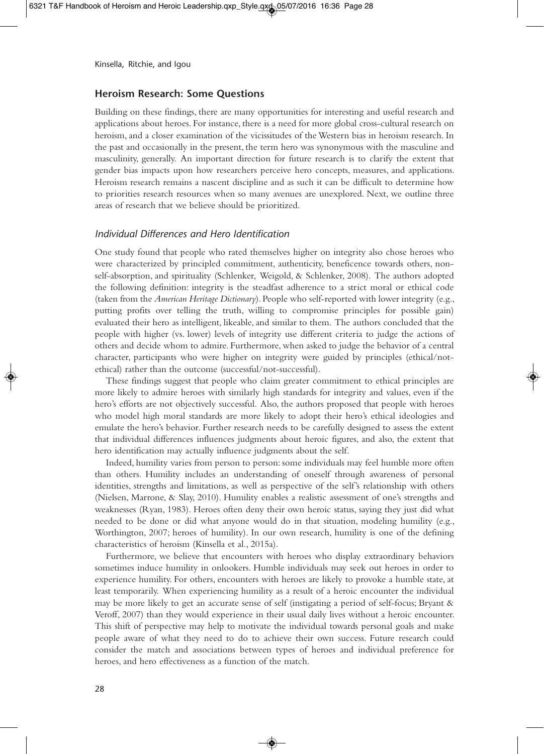# **Heroism Research: Some Questions**

Building on these findings, there are many opportunities for interesting and useful research and applications about heroes. For instance, there is a need for more global cross-cultural research on heroism, and a closer examination of the vicissitudes of the Western bias in heroism research. In the past and occasionally in the present, the term hero was synonymous with the masculine and masculinity, generally. An important direction for future research is to clarify the extent that gender bias impacts upon how researchers perceive hero concepts, measures, and applications. Heroism research remains a nascent discipline and as such it can be difficult to determine how to priorities research resources when so many avenues are unexplored. Next, we outline three areas of research that we believe should be prioritized.

# *Individual Differences and Hero Identification*

One study found that people who rated themselves higher on integrity also chose heroes who were characterized by principled commitment, authenticity, beneficence towards others, nonself-absorption, and spirituality (Schlenker, Weigold, & Schlenker, 2008). The authors adopted the following definition: integrity is the steadfast adherence to a strict moral or ethical code (taken from the *American Heritage Dictionary*).People who self-reported with lower integrity (e.g., putting profits over telling the truth, willing to compromise principles for possible gain) evaluated their hero as intelligent, likeable, and similar to them. The authors concluded that the people with higher (vs. lower) levels of integrity use different criteria to judge the actions of others and decide whom to admire. Furthermore, when asked to judge the behavior of a central character, participants who were higher on integrity were guided by principles (ethical/notethical) rather than the outcome (successful/not-successful).

These findings suggest that people who claim greater commitment to ethical principles are more likely to admire heroes with similarly high standards for integrity and values, even if the hero's efforts are not objectively successful. Also, the authors proposed that people with heroes who model high moral standards are more likely to adopt their hero's ethical ideologies and emulate the hero's behavior. Further research needs to be carefully designed to assess the extent that individual differences influences judgments about heroic figures, and also, the extent that hero identification may actually influence judgments about the self.

Indeed, humility varies from person to person: some individuals may feel humble more often than others. Humility includes an understanding of oneself through awareness of personal identities, strengths and limitations, as well as perspective of the self's relationship with others (Nielsen, Marrone, & Slay, 2010). Humility enables a realistic assessment of one's strengths and weaknesses (Ryan, 1983). Heroes often deny their own heroic status, saying they just did what needed to be done or did what anyone would do in that situation, modeling humility (e.g., Worthington, 2007; heroes of humility). In our own research, humility is one of the defining characteristics of heroism (Kinsella et al., 2015a).

Furthermore, we believe that encounters with heroes who display extraordinary behaviors sometimes induce humility in onlookers. Humble individuals may seek out heroes in order to experience humility. For others, encounters with heroes are likely to provoke a humble state, at least temporarily. When experiencing humility as a result of a heroic encounter the individual may be more likely to get an accurate sense of self (instigating a period of self-focus; Bryant & Veroff, 2007) than they would experience in their usual daily lives without a heroic encounter. This shift of perspective may help to motivate the individual towards personal goals and make people aware of what they need to do to achieve their own success. Future research could consider the match and associations between types of heroes and individual preference for heroes, and hero effectiveness as a function of the match.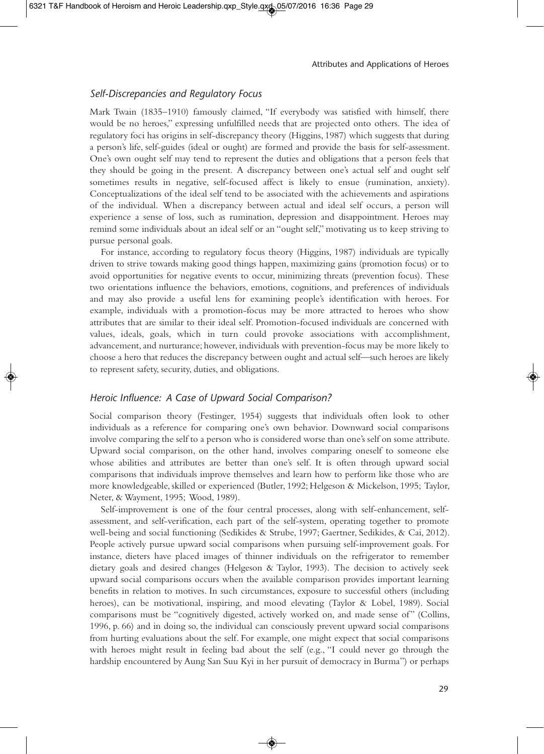# *Self-Discrepancies and Regulatory Focus*

Mark Twain (1835–1910) famously claimed, "If everybody was satisfied with himself, there would be no heroes," expressing unfulfilled needs that are projected onto others. The idea of regulatory foci has origins in self-discrepancy theory (Higgins, 1987) which suggests that during a person's life, self-guides (ideal or ought) are formed and provide the basis for self-assessment. One's own ought self may tend to represent the duties and obligations that a person feels that they should be going in the present. A discrepancy between one's actual self and ought self sometimes results in negative, self-focused affect is likely to ensue (rumination, anxiety). Conceptualizations of the ideal self tend to be associated with the achievements and aspirations of the individual. When a discrepancy between actual and ideal self occurs, a person will experience a sense of loss, such as rumination, depression and disappointment. Heroes may remind some individuals about an ideal self or an "ought self," motivating us to keep striving to pursue personal goals.

For instance, according to regulatory focus theory (Higgins, 1987) individuals are typically driven to strive towards making good things happen, maximizing gains (promotion focus) or to avoid opportunities for negative events to occur, minimizing threats (prevention focus). These two orientations influence the behaviors, emotions, cognitions, and preferences of individuals and may also provide a useful lens for examining people's identification with heroes. For example, individuals with a promotion-focus may be more attracted to heroes who show attributes that are similar to their ideal self. Promotion-focused individuals are concerned with values, ideals, goals, which in turn could provoke associations with accomplishment, advancement,and nurturance; however, individuals with prevention-focus may be more likely to choose a hero that reduces the discrepancy between ought and actual self—such heroes are likely to represent safety, security, duties, and obligations.

### *Heroic Influence: A Case of Upward Social Comparison?*

Social comparison theory (Festinger, 1954) suggests that individuals often look to other individuals as a reference for comparing one's own behavior. Downward social comparisons involve comparing the self to a person who is considered worse than one's self on some attribute. Upward social comparison, on the other hand, involves comparing oneself to someone else whose abilities and attributes are better than one's self. It is often through upward social comparisons that individuals improve themselves and learn how to perform like those who are more knowledgeable, skilled or experienced (Butler, 1992; Helgeson & Mickelson, 1995; Taylor, Neter, & Wayment, 1995; Wood, 1989).

Self-improvement is one of the four central processes, along with self-enhancement, selfassessment, and self-verification, each part of the self-system, operating together to promote well-being and social functioning (Sedikides & Strube, 1997; Gaertner, Sedikides, & Cai, 2012). People actively pursue upward social comparisons when pursuing self-improvement goals. For instance, dieters have placed images of thinner individuals on the refrigerator to remember dietary goals and desired changes (Helgeson & Taylor, 1993). The decision to actively seek upward social comparisons occurs when the available comparison provides important learning benefits in relation to motives. In such circumstances, exposure to successful others (including heroes), can be motivational, inspiring, and mood elevating (Taylor & Lobel, 1989). Social comparisons must be "cognitively digested, actively worked on, and made sense of" (Collins, 1996, p. 66) and in doing so, the individual can consciously prevent upward social comparisons from hurting evaluations about the self. For example, one might expect that social comparisons with heroes might result in feeling bad about the self (e.g., "I could never go through the hardship encountered by Aung San Suu Kyi in her pursuit of democracy in Burma") or perhaps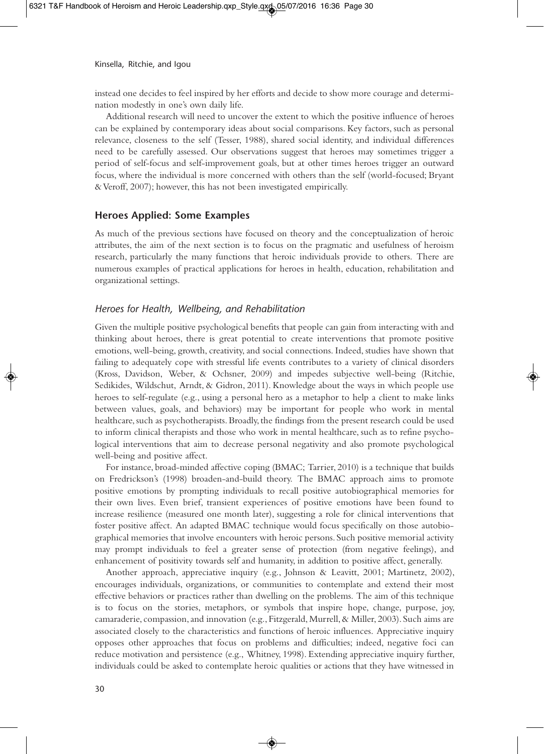instead one decides to feel inspired by her efforts and decide to show more courage and determination modestly in one's own daily life.

Additional research will need to uncover the extent to which the positive influence of heroes can be explained by contemporary ideas about social comparisons. Key factors, such as personal relevance, closeness to the self (Tesser, 1988), shared social identity, and individual differences need to be carefully assessed. Our observations suggest that heroes may sometimes trigger a period of self-focus and self-improvement goals, but at other times heroes trigger an outward focus, where the individual is more concerned with others than the self (world-focused; Bryant &Veroff, 2007); however, this has not been investigated empirically.

### **Heroes Applied: Some Examples**

As much of the previous sections have focused on theory and the conceptualization of heroic attributes, the aim of the next section is to focus on the pragmatic and usefulness of heroism research, particularly the many functions that heroic individuals provide to others. There are numerous examples of practical applications for heroes in health, education, rehabilitation and organizational settings.

# *Heroes for Health, Wellbeing, and Rehabilitation*

Given the multiple positive psychological benefits that people can gain from interacting with and thinking about heroes, there is great potential to create interventions that promote positive emotions, well-being, growth, creativity,and social connections. Indeed, studies have shown that failing to adequately cope with stressful life events contributes to a variety of clinical disorders (Kross, Davidson, Weber, & Ochsner, 2009) and impedes subjective well-being (Ritchie, Sedikides, Wildschut, Arndt, & Gidron, 2011). Knowledge about the ways in which people use heroes to self-regulate (e.g., using a personal hero as a metaphor to help a client to make links between values, goals, and behaviors) may be important for people who work in mental healthcare, such as psychotherapists. Broadly, the findings from the present research could be used to inform clinical therapists and those who work in mental healthcare, such as to refine psychological interventions that aim to decrease personal negativity and also promote psychological well-being and positive affect.

For instance, broad-minded affective coping (BMAC; Tarrier, 2010) is a technique that builds on Fredrickson's (1998) broaden-and-build theory. The BMAC approach aims to promote positive emotions by prompting individuals to recall positive autobiographical memories for their own lives. Even brief, transient experiences of positive emotions have been found to increase resilience (measured one month later), suggesting a role for clinical interventions that foster positive affect. An adapted BMAC technique would focus specifically on those autobiographical memories that involve encounters with heroic persons. Such positive memorial activity may prompt individuals to feel a greater sense of protection (from negative feelings), and enhancement of positivity towards self and humanity, in addition to positive affect, generally.

Another approach, appreciative inquiry (e.g., Johnson & Leavitt, 2001; Martinetz, 2002), encourages individuals, organizations, or communities to contemplate and extend their most effective behaviors or practices rather than dwelling on the problems. The aim of this technique is to focus on the stories, metaphors, or symbols that inspire hope, change, purpose, joy, camaraderie, compassion,and innovation (e.g., Fitzgerald,Murrell,& Miller, 2003). Such aims are associated closely to the characteristics and functions of heroic influences. Appreciative inquiry opposes other approaches that focus on problems and difficulties; indeed, negative foci can reduce motivation and persistence (e.g., Whitney, 1998). Extending appreciative inquiry further, individuals could be asked to contemplate heroic qualities or actions that they have witnessed in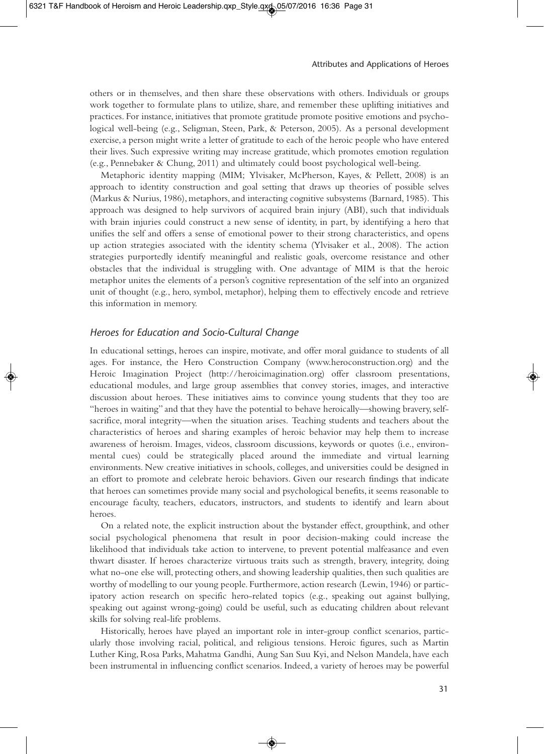others or in themselves, and then share these observations with others. Individuals or groups work together to formulate plans to utilize, share, and remember these uplifting initiatives and practices. For instance, initiatives that promote gratitude promote positive emotions and psychological well-being (e.g., Seligman, Steen, Park, & Peterson, 2005). As a personal development exercise,a person might write a letter of gratitude to each of the heroic people who have entered their lives. Such expressive writing may increase gratitude, which promotes emotion regulation (e.g., Pennebaker & Chung, 2011) and ultimately could boost psychological well-being.

Metaphoric identity mapping (MIM; Ylvisaker, McPherson, Kayes, & Pellett, 2008) is an approach to identity construction and goal setting that draws up theories of possible selves (Markus & Nurius, 1986), metaphors, and interacting cognitive subsystems (Barnard, 1985). This approach was designed to help survivors of acquired brain injury (ABI), such that individuals with brain injuries could construct a new sense of identity, in part, by identifying a hero that unifies the self and offers a sense of emotional power to their strong characteristics, and opens up action strategies associated with the identity schema (Ylvisaker et al., 2008). The action strategies purportedly identify meaningful and realistic goals, overcome resistance and other obstacles that the individual is struggling with. One advantage of MIM is that the heroic metaphor unites the elements of a person's cognitive representation of the self into an organized unit of thought (e.g., hero, symbol, metaphor), helping them to effectively encode and retrieve this information in memory.

# *Heroes for Education and Socio-Cultural Change*

In educational settings, heroes can inspire, motivate, and offer moral guidance to students of all ages. For instance, the Hero Construction Company (www.heroconstruction.org) and the Heroic Imagination Project (http://heroicimagination.org) offer classroom presentations, educational modules, and large group assemblies that convey stories, images, and interactive discussion about heroes. These initiatives aims to convince young students that they too are "heroes in waiting" and that they have the potential to behave heroically—showing bravery, selfsacrifice, moral integrity—when the situation arises. Teaching students and teachers about the characteristics of heroes and sharing examples of heroic behavior may help them to increase awareness of heroism. Images, videos, classroom discussions, keywords or quotes (i.e., environmental cues) could be strategically placed around the immediate and virtual learning environments. New creative initiatives in schools, colleges, and universities could be designed in an effort to promote and celebrate heroic behaviors. Given our research findings that indicate that heroes can sometimes provide many social and psychological benefits, it seems reasonable to encourage faculty, teachers, educators, instructors, and students to identify and learn about heroes.

On a related note, the explicit instruction about the bystander effect, groupthink, and other social psychological phenomena that result in poor decision-making could increase the likelihood that individuals take action to intervene, to prevent potential malfeasance and even thwart disaster. If heroes characterize virtuous traits such as strength, bravery, integrity, doing what no-one else will, protecting others, and showing leadership qualities, then such qualities are worthy of modelling to our young people. Furthermore, action research (Lewin, 1946) or participatory action research on specific hero-related topics (e.g., speaking out against bullying, speaking out against wrong-going) could be useful, such as educating children about relevant skills for solving real-life problems.

Historically, heroes have played an important role in inter-group conflict scenarios, particularly those involving racial, political, and religious tensions. Heroic figures, such as Martin Luther King, Rosa Parks, Mahatma Gandhi, Aung San Suu Kyi, and Nelson Mandela, have each been instrumental in influencing conflict scenarios. Indeed,a variety of heroes may be powerful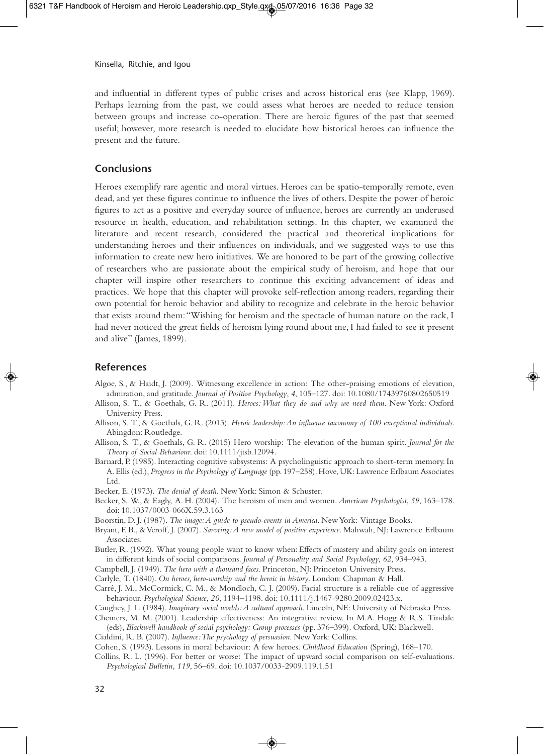and influential in different types of public crises and across historical eras (see Klapp, 1969). Perhaps learning from the past, we could assess what heroes are needed to reduce tension between groups and increase co-operation. There are heroic figures of the past that seemed useful; however, more research is needed to elucidate how historical heroes can influence the present and the future.

## **Conclusions**

Heroes exemplify rare agentic and moral virtues. Heroes can be spatio-temporally remote, even dead,and yet these figures continue to influence the lives of others. Despite the power of heroic figures to act as a positive and everyday source of influence, heroes are currently an underused resource in health, education, and rehabilitation settings. In this chapter, we examined the literature and recent research, considered the practical and theoretical implications for understanding heroes and their influences on individuals, and we suggested ways to use this information to create new hero initiatives. We are honored to be part of the growing collective of researchers who are passionate about the empirical study of heroism, and hope that our chapter will inspire other researchers to continue this exciting advancement of ideas and practices. We hope that this chapter will provoke self-reflection among readers, regarding their own potential for heroic behavior and ability to recognize and celebrate in the heroic behavior that exists around them:"Wishing for heroism and the spectacle of human nature on the rack, I had never noticed the great fields of heroism lying round about me, I had failed to see it present and alive" (James, 1899).

# **References**

- Algoe, S., & Haidt, J. (2009). Witnessing excellence in action: The other-praising emotions of elevation, admiration, and gratitude. *Journal of Positive Psychology*, *4*, 105–127. doi: 10.1080/17439760802650519
- Allison, S. T., & Goethals, G. R. (2011). *Heroes:What they do and why we need them*. New York: Oxford University Press.
- Allison, S. T., & Goethals, G. R. (2013). *Heroic leadership:An influence taxonomy of 100 exceptional individuals*. Abingdon: Routledge.

Allison, S. T., & Goethals, G. R. (2015) Hero worship: The elevation of the human spirit. *Journal for the Theory of Social Behaviour*. doi: 10.1111/jtsb.12094.

Barnard, P. (1985). Interacting cognitive subsystems: A psycholinguistic approach to short-term memory. In A.Ellis (ed.),*Progress in the Psychology of Language* (pp. 197–258).Hove,UK:Lawrence ErlbaumAssociates Ltd.

Becker, E. (1973). *The denial of death*. NewYork: Simon & Schuster.

Becker, S. W., & Eagly, A. H. (2004). The heroism of men and women. *American Psychologist*, *59*, 163–178. doi: 10.1037/0003-066X.59.3.163

Boorstin, D. J. (1987). *The image:A guide to pseudo-events in America*. NewYork: Vintage Books.

Bryant, F. B., &Veroff, J. (2007). *Savoring:A new model of positive experience*. Mahwah, NJ: Lawrence Erlbaum Associates.

Butler, R. (1992). What young people want to know when: Effects of mastery and ability goals on interest in different kinds of social comparisons. *Journal of Personality and Social Psychology*, *62*, 934–943.

Campbell, J. (1949). *The hero with a thousand faces*. Princeton, NJ: Princeton University Press.

Carlyle, T. (1840). *On heroes, hero-worship and the heroic in history*. London: Chapman & Hall.

Carré, J. M., McCormick, C. M., & Mondloch, C. J. (2009). Facial structure is a reliable cue of aggressive behaviour. *Psychological Science*, *20*, 1194–1198. doi: 10.1111/j.1467-9280.2009.02423.x.

Caughey, J. L. (1984). *Imaginary social worlds:A cultural approach*. Lincoln, NE: University of Nebraska Press.

Chemers, M. M. (2001). Leadership effectiveness: An integrative review. In M.A. Hogg & R.S. Tindale (eds), *Blackwell handbook of social psychology: Group processes* (pp. 376–399). Oxford, UK: Blackwell.

Cialdini, R. B. (2007). *Influence:The psychology of persuasion*. NewYork: Collins.

Cohen, S. (1993). Lessons in moral behaviour: A few heroes. *Childhood Education* (Spring), 168–170.

Collins, R. L. (1996). For better or worse: The impact of upward social comparison on self-evaluations. *Psychological Bulletin, 119*, 56–69. doi: 10.1037/0033-2909.119.1.51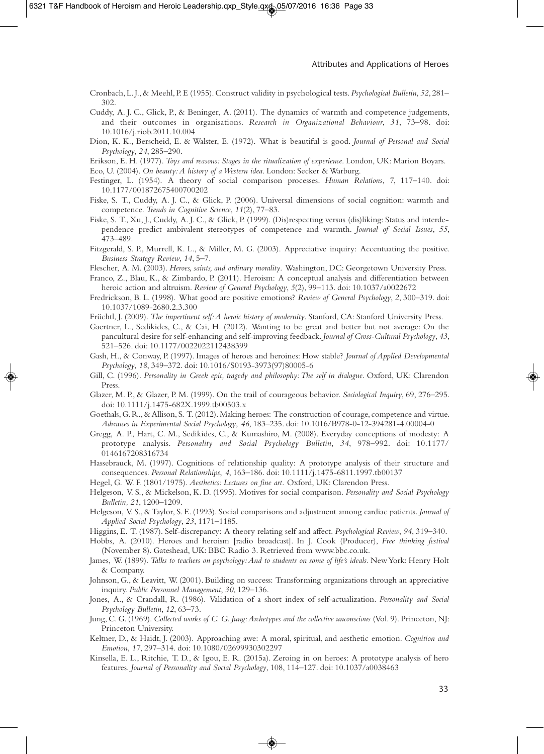- Cronbach, L.J.,& Meehl, P.E (1955).Construct validity in psychological tests. *Psychological Bulletin*, *52*, 281– 302.
- Cuddy, A. J. C., Glick, P., & Beninger, A. (2011). The dynamics of warmth and competence judgements, and their outcomes in organisations. *Research in Organizational Behaviour*, *31*, 73–98. doi: 10.1016/j.riob.2011.10.004
- Dion, K. K., Berscheid, E. & Walster, E. (1972). What is beautiful is good. *Journal of Personal and Social Psychology*, *24*, 285–290.
- Erikson, E. H. (1977). *Toys and reasons: Stages in the ritualization of experience*. London, UK: Marion Boyars. Eco, U. (2004). *On beauty:A history of aWestern idea*. London: Secker & Warburg.
- Festinger, L. (1954). A theory of social comparison processes. *Human Relations*, *7*, 117–140. doi: 10.1177/001872675400700202
- Fiske, S. T., Cuddy, A. J. C., & Glick, P. (2006). Universal dimensions of social cognition: warmth and competence. *Trends in Cognitive Science*, *11*(2), 77–83.
- Fiske, S. T., Xu, J., Cuddy, A. J. C., & Glick, P. (1999). (Dis)respecting versus (dis)liking: Status and interdependence predict ambivalent stereotypes of competence and warmth. *Journal of Social Issues*, *55*, 473–489.
- Fitzgerald, S. P., Murrell, K. L., & Miller, M. G. (2003). Appreciative inquiry: Accentuating the positive. *Business Strategy Review*, *14*, 5–7.
- Flescher, A. M. (2003). *Heroes, saints, and ordinary morality*. Washington, DC: Georgetown University Press.

Franco, Z., Blau, K., & Zimbardo, P. (2011). Heroism: A conceptual analysis and differentiation between heroic action and altruism. *Review of General Psychology*, *5*(2), 99–113. doi: 10.1037/a0022672

- Fredrickson, B. L. (1998). What good are positive emotions? *Review of General Psychology*, *2*, 300–319. doi: 10.1037/1089-2680.2.3.300
- Früchtl, J. (2009). *The impertinent self:A heroic history of modernity*. Stanford, CA: Stanford University Press.
- Gaertner, L., Sedikides, C., & Cai, H. (2012). Wanting to be great and better but not average: On the pancultural desire for self-enhancing and self-improving feedback.*Journal of Cross-Cultural Psychology*, *43*, 521–526. doi: 10.1177/0022022112438399
- Gash, H., & Conway, P. (1997). Images of heroes and heroines: How stable? *Journal of Applied Developmental Psychology*, *18*, 349–372. doi: 10.1016/S0193-3973(97)80005-6
- Gill, C. (1996). *Personality in Greek epic, tragedy and philosophy:The self in dialogue*. Oxford, UK: Clarendon Press.
- Glazer, M. P., & Glazer, P. M. (1999). On the trail of courageous behavior. *Sociological Inquiry*, 69, 276–295. doi: 10.1111/j.1475-682X.1999.tb00503.x
- Goethals, G. R., & Allison, S. T. (2012). Making heroes: The construction of courage, competence and virtue. *Advances in Experimental Social Psychology*, *46*, 183–235. doi: 10.1016/B978-0-12-394281-4.00004-0
- Gregg, A. P., Hart, C. M., Sedikides, C., & Kumashiro, M. (2008). Everyday conceptions of modesty: A prototype analysis. *Personality and Social Psychology Bulletin*, *34*, 978–992. doi: 10.1177/ 0146167208316734
- Hassebrauck, M. (1997). Cognitions of relationship quality: A prototype analysis of their structure and consequences. *Personal Relationships*, *4*, 163–186. doi: 10.1111/j.1475-6811.1997.tb00137

Hegel, G. W. F. (1801/1975). *Aesthetics: Lectures on fine art.* Oxford, UK: Clarendon Press.

Helgeson, V. S., & Mickelson, K. D. (1995). Motives for social comparison. *Personality and Social Psychology Bulletin, 21*, 1200–1209.

Helgeson, V. S., & Taylor, S. E. (1993). Social comparisons and adjustment among cardiac patients*. Journal of Applied Social Psychology*, *23*, 1171–1185.

Higgins, E. T. (1987). Self-discrepancy: A theory relating self and affect. *Psychological Review*, *94*, 319–340.

Hobbs, A. (2010). Heroes and heroism [radio broadcast]. In J. Cook (Producer), *Free thinking festival* (November 8). Gateshead, UK: BBC Radio 3. Retrieved from www.bbc.co.uk.

James, W. (1899). *Talks to teachers on psychology:And to students on some of life's ideals*. NewYork: Henry Holt & Company.

Johnson, G., & Leavitt, W. (2001). Building on success: Transforming organizations through an appreciative inquiry. *Public Personnel Management*, *30*, 129–136.

- Jones, A., & Crandall, R. (1986). Validation of a short index of self-actualization. *Personality and Social Psychology Bulletin*, *12*, 63–73.
- Jung, C. G. (1969). *Collected works of C. G. Jung:Archetypes and the collective unconscious* (Vol. 9). Princeton, NJ: Princeton University.
- Keltner, D., & Haidt, J. (2003). Approaching awe: A moral, spiritual, and aesthetic emotion. *Cognition and Emotion*, *17*, 297–314. doi: 10.1080/02699930302297
- Kinsella, E. L., Ritchie, T. D., & Igou, E. R. (2015a). Zeroing in on heroes: A prototype analysis of hero features. *Journal of Personality and Social Psychology*, 108, 114–127. doi: 10.1037/a0038463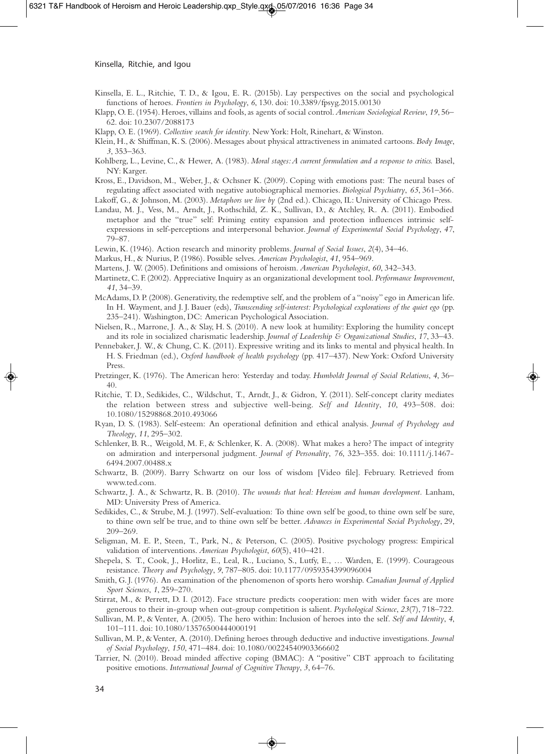- Kinsella, E. L., Ritchie, T. D., & Igou, E. R. (2015b). Lay perspectives on the social and psychological functions of heroes. *Frontiers in Psychology*, *6*, 130. doi: 10.3389/fpsyg.2015.00130
- Klapp, O. E. (1954). Heroes, villains and fools, as agents of social control. American Sociological Review, 19, 56– 62. doi: 10.2307/2088173
- Klapp, O. E. (1969). *Collective search for identity*. NewYork: Holt, Rinehart, & Winston.
- Klein, H., & Shiffman,K. S. (2006). Messages about physical attractiveness in animated cartoons. *Body Image*, *3*, 353–363.
- Kohlberg, L., Levine, C., & Hewer, A. (1983). *Moral stages:A current formulation and a response to critics.* Basel, NY: Karger.

Kross, E., Davidson, M., Weber, J., & Ochsner K. (2009). Coping with emotions past: The neural bases of regulating affect associated with negative autobiographical memories. *Biological Psychiatry*, *65*, 361–366. Lakoff, G., & Johnson, M. (2003). *Metaphors we live by* (2nd ed.). Chicago, IL: University of Chicago Press.

Landau, M. J., Vess, M., Arndt, J., Rothschild, Z. K., Sullivan, D., & Atchley, R. A. (2011). Embodied metaphor and the "true" self: Priming entity expansion and protection influences intrinsic selfexpressions in self-perceptions and interpersonal behavior. *Journal of Experimental Social Psychology*, *47*, 79–87.

- Lewin, K. (1946). Action research and minority problems. *Journal of Social Issues*, *2*(4), 34–46.
- Markus, H., & Nurius, P. (1986). Possible selves. *American Psychologist*, *41*, 954–969.
- Martens, J. W. (2005). Definitions and omissions of heroism. *American Psychologist*, *60*, 342–343.
- Martinetz, C. F.(2002). Appreciative Inquiry as an organizational development tool. *Performance Improvement*, *41*, 34–39.
- McAdams, D. P. (2008). Generativity, the redemptive self, and the problem of a "noisy" ego in American life. In H. Wayment, and J. J. Bauer (eds), *Transcending self-interest: Psychological explorations of the quiet ego* (pp. 235–241). Washington, DC: American Psychological Association.
- Nielsen, R., Marrone, J. A., & Slay, H. S. (2010). A new look at humility: Exploring the humility concept and its role in socialized charismatic leadership. *Journal of Leadership & Organizational Studies*, *17*, 33–43.
- Pennebaker, J. W., & Chung, C. K. (2011). Expressive writing and its links to mental and physical health. In H. S. Friedman (ed.), *Oxford handbook of health psychology* (pp. 417–437). New York: Oxford University Press.
- Pretzinger, K. (1976). The American hero: Yesterday and today. *Humboldt Journal of Social Relations*, *4*, 36– 40.
- Ritchie, T. D., Sedikides, C., Wildschut, T., Arndt, J., & Gidron, Y. (2011). Self-concept clarity mediates the relation between stress and subjective well-being. *Self and Identity*, *10*, 493–508. doi: 10.1080/15298868.2010.493066
- Ryan, D. S. (1983). Self-esteem: An operational definition and ethical analysis. *Journal of Psychology and Theology*, *11*, 295–302.
- Schlenker, B. R., Weigold, M. F., & Schlenker, K. A. (2008). What makes a hero? The impact of integrity on admiration and interpersonal judgment. *Journal of Personality*, *76*, 323–355. doi: 10.1111/j.1467- 6494.2007.00488.x
- Schwartz, B. (2009). Barry Schwartz on our loss of wisdom [Video file]. February. Retrieved from www.ted.com.
- Schwartz, J. A., & Schwartz, R. B. (2010). *The wounds that heal: Heroism and human development.* Lanham, MD: University Press of America.
- Sedikides, C., & Strube, M. J. (1997). Self-evaluation: To thine own self be good, to thine own self be sure, to thine own self be true, and to thine own self be better. *Advances in Experimental Social Psychology*, 29, 209–269.
- Seligman, M. E. P., Steen, T., Park, N., & Peterson, C. (2005). Positive psychology progress: Empirical validation of interventions. *American Psychologist*, *60*(5), 410–421.

Shepela, S. T., Cook, J., Horlitz, E., Leal, R., Luciano, S., Lutfy, E., … Warden, E. (1999). Courageous resistance. *Theory and Psychology*, *9*, 787–805. doi: 10.1177/0959354399096004

- Smith, G. J. (1976). An examination of the phenomenon of sports hero worship. *Canadian Journal of Applied Sport Sciences*, *1*, 259–270.
- Stirrat, M., & Perrett, D. I. (2012). Face structure predicts cooperation: men with wider faces are more generous to their in-group when out-group competition is salient. *Psychological Science*, *23*(7), 718–722.
- Sullivan, M. P., & Venter, A. (2005). The hero within: Inclusion of heroes into the self. *Self and Identity*, *4*, 101–111. doi: 10.1080/13576500444000191
- Sullivan, M. P., &Venter, A. (2010). Defining heroes through deductive and inductive investigations. *Journal of Social Psychology*, *150*, 471–484. doi: 10.1080/00224540903366602
- Tarrier, N. (2010). Broad minded affective coping (BMAC): A "positive" CBT approach to facilitating positive emotions. *International Journal of CognitiveTherapy*, *3*, 64–76.